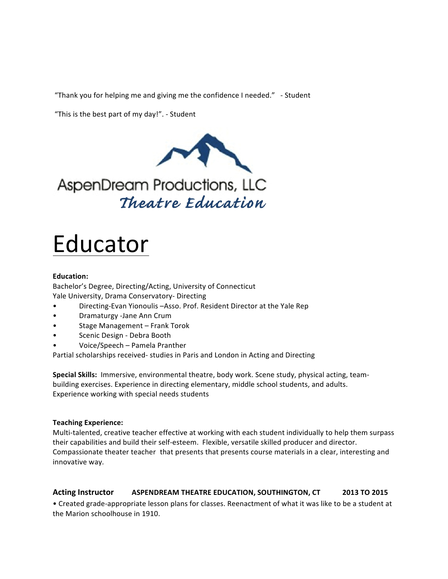"Thank you for helping me and giving me the confidence I needed." - Student

"This is the best part of my day!". - Student



AspenDream Productions, LLC Theatre Education

# Educator

## **Education:**

Bachelor's Degree, Directing/Acting, University of Connecticut Yale University, Drama Conservatory- Directing

- Directing-Evan Yionoulis -Asso. Prof. Resident Director at the Yale Rep
- Dramaturgy -Jane Ann Crum
- Stage Management Frank Torok
- Scenic Design Debra Booth
- Voice/Speech – Pamela Pranther

Partial scholarships received- studies in Paris and London in Acting and Directing

**Special Skills:** Immersive, environmental theatre, body work. Scene study, physical acting, teambuilding exercises. Experience in directing elementary, middle school students, and adults. Experience working with special needs students

## **Teaching Experience:**

Multi-talented, creative teacher effective at working with each student individually to help them surpass their capabilities and build their self-esteem. Flexible, versatile skilled producer and director. Compassionate theater teacher that presents that presents course materials in a clear, interesting and innovative way.

# **Acting Instructor ASPENDREAM THEATRE EDUCATION, SOUTHINGTON, CT 2013 TO 2015**

• Created grade-appropriate lesson plans for classes. Reenactment of what it was like to be a student at the Marion schoolhouse in 1910.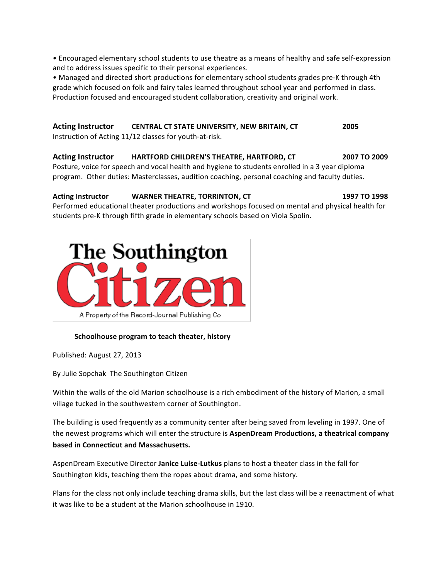• Encouraged elementary school students to use theatre as a means of healthy and safe self-expression and to address issues specific to their personal experiences.

• Managed and directed short productions for elementary school students grades pre-K through 4th grade which focused on folk and fairy tales learned throughout school year and performed in class. Production focused and encouraged student collaboration, creativity and original work.

# **Acting Instructor CENTRAL CT STATE UNIVERSITY, NEW BRITAIN, CT** 2005

Instruction of Acting 11/12 classes for youth-at-risk.

## **Acting Instructor HARTFORD CHILDREN'S THEATRE, HARTFORD, CT 2007 TO 2009**

Posture, voice for speech and vocal health and hygiene to students enrolled in a 3 year diploma program. Other duties: Masterclasses, audition coaching, personal coaching and faculty duties.

# **Acting Instructor <b>WARNER THEATRE, TORRINTON, CT** 1997 **1997 1998**

Performed educational theater productions and workshops focused on mental and physical health for students pre-K through fifth grade in elementary schools based on Viola Spolin.



## **Schoolhouse program to teach theater, history**

Published: August 27, 2013

By Julie Sopchak The Southington Citizen

Within the walls of the old Marion schoolhouse is a rich embodiment of the history of Marion, a small village tucked in the southwestern corner of Southington.

The building is used frequently as a community center after being saved from leveling in 1997. One of the newest programs which will enter the structure is **AspenDream Productions, a theatrical company based in Connecticut and Massachusetts.** 

AspenDream Executive Director **Janice Luise-Lutkus** plans to host a theater class in the fall for Southington kids, teaching them the ropes about drama, and some history.

Plans for the class not only include teaching drama skills, but the last class will be a reenactment of what it was like to be a student at the Marion schoolhouse in 1910.